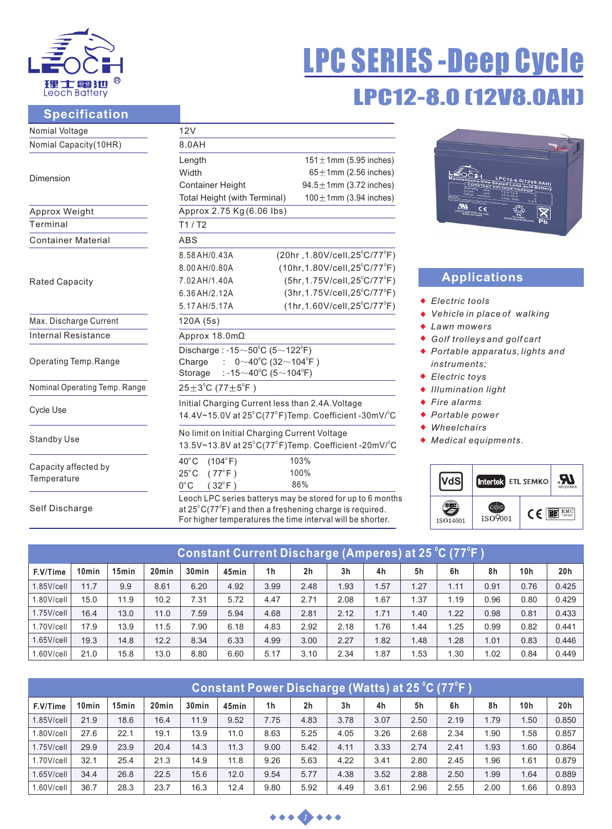

# LPC12-8.0 [12V8.0A LPC SERIES -Deep Cycle

#### **Specification**

| Nomial Voltage                | 12V                                                                                 |                                               |  |  |  |  |  |  |
|-------------------------------|-------------------------------------------------------------------------------------|-----------------------------------------------|--|--|--|--|--|--|
| Nomial Capacity(10HR)         | 8.0AH                                                                               |                                               |  |  |  |  |  |  |
|                               | Length                                                                              | $151 \pm 1$ mm (5.95 inches)                  |  |  |  |  |  |  |
| Dimension                     | Width                                                                               | $65 \pm 1$ mm (2.56 inches)                   |  |  |  |  |  |  |
|                               | <b>Container Height</b>                                                             | $94.5 \pm 1$ mm (3.72 inches)                 |  |  |  |  |  |  |
|                               | $100 \pm 1$ mm (3.94 inches)<br>Total Height (with Terminal)                        |                                               |  |  |  |  |  |  |
| Approx Weight                 | Approx 2.75 Kg (6.06 lbs)                                                           |                                               |  |  |  |  |  |  |
| Terminal                      | T1/T2                                                                               |                                               |  |  |  |  |  |  |
| <b>Container Material</b>     | <b>ABS</b>                                                                          |                                               |  |  |  |  |  |  |
|                               | 8.58 AH/0.43A                                                                       | $(20hr, 1.80V/cell, 25^{\circ}C/77^{\circ}F)$ |  |  |  |  |  |  |
|                               | 8.00 AH/0.80A                                                                       | $(10hr, 1.80V/cell, 25^{\circ}C/77^{\circ}F)$ |  |  |  |  |  |  |
| <b>Rated Capacity</b>         | 7.02 AH/1.40A                                                                       | (5hr, 1.75V/cell, 25°C/77°F)                  |  |  |  |  |  |  |
|                               | 6.36 AH/2.12A                                                                       | $(3hr, 1.75V/cell, 25^{\circ}C/77^{\circ}F)$  |  |  |  |  |  |  |
|                               | 5.17 AH/5.17 A                                                                      | $(1hr, 1.60V/cell, 25^{\circ}C/77^{\circ}F)$  |  |  |  |  |  |  |
| Max. Discharge Current        | 120A (5s)                                                                           |                                               |  |  |  |  |  |  |
| Internal Resistance           | Approx 18.0mΩ                                                                       |                                               |  |  |  |  |  |  |
|                               | Discharge: $-15 \sim 50^{\circ}$ C (5 $\sim$ 122 $^{\circ}$ F)                      |                                               |  |  |  |  |  |  |
| Operating Temp.Range          | $0~10^{0}$ C (32 ~ 104 <sup>°</sup> F)<br>Charge<br>÷                               |                                               |  |  |  |  |  |  |
|                               | : -15 $\sim$ 40°C (5 $\sim$ 104°F)<br>Storage                                       |                                               |  |  |  |  |  |  |
| Nominal Operating Temp. Range | $25 \pm 3^{\circ}$ C (77 $\pm 5^{\circ}$ F)                                         |                                               |  |  |  |  |  |  |
|                               | Initial Charging Current less than 2.4A. Voltage                                    |                                               |  |  |  |  |  |  |
| Cycle Use                     | 14.4V~15.0V at $25^{\circ}$ C(77 $^{\circ}$ F)Temp. Coefficient -30mV/ $^{\circ}$ C |                                               |  |  |  |  |  |  |
|                               | No limit on Initial Charging Current Voltage                                        |                                               |  |  |  |  |  |  |
| <b>Standby Use</b>            | 13.5V~13.8V at 25°C(77°F)Temp. Coefficient -20mV/°C                                 |                                               |  |  |  |  |  |  |
|                               | $40^{\circ}$ C<br>(104°F)                                                           | 103%                                          |  |  |  |  |  |  |
| Capacity affected by          | $(77^{\circ}F)$<br>$25^{\circ}$ C                                                   | 100%                                          |  |  |  |  |  |  |
| Temperature                   | $0^{\circ}$ C<br>$(32^{\circ}F)$                                                    | 86%                                           |  |  |  |  |  |  |
|                               | Leoch LPC series batterys may be stored for up to 6 months                          |                                               |  |  |  |  |  |  |
| Self Discharge                | at $25^{\circ}$ C(77 $^{\circ}$ F) and then a freshening charge is required.        |                                               |  |  |  |  |  |  |
|                               | For higher temperatures the time interval will be shorter.                          |                                               |  |  |  |  |  |  |



# **Applications**

- *Electric tools*
- *Vehicle in place of walking*
- *Lawn mowers*
- *Golf trolleys and golf cart*
- *Portable apparatus, lights and instruments;*
- *Electric toys*
- *Illumination light*
- *Fire alarms*
- *Portable power*
- *Wheelchairs*
- *Medical equipments.*

|          | Intertek ETL SEMKO |    | MH26866       |
|----------|--------------------|----|---------------|
| ISO14001 | ISO9001            | (E | EMO<br>tested |

| Constant Current Di <u>scharge (Amperes) at 25 °C (77°F</u> ) |       |       |                   |                   |       |                |                |                |      |      |       |      |      |       |
|---------------------------------------------------------------|-------|-------|-------------------|-------------------|-------|----------------|----------------|----------------|------|------|-------|------|------|-------|
| F.V/Time                                                      | 10min | 15min | 20 <sub>min</sub> | 30 <sub>min</sub> | 45min | 1 <sub>h</sub> | 2 <sub>h</sub> | 3 <sub>h</sub> | 4h   | 5h   | 6h    | 8h   | 10h  | 20h   |
| $1.85$ V/cell                                                 | 11.7  | 9.9   | 8.61              | 6.20              | 4.92  | 3.99           | 2.48           | 1.93           | 1.57 | 1.27 | 1.11  | 0.91 | 0.76 | 0.425 |
| 1.80V/cell                                                    | 15.0  | 11.9  | 10.2              | 7.31              | 5.72  | 4.47           | 2.71           | 2.08           | 1.67 | 1.37 | 1.19  | 0.96 | 0.80 | 0.429 |
| $1.75$ V/cell                                                 | 16.4  | 13.0  | 11.0              | 7.59              | 5.94  | 4.68           | 2.81           | 2.12           | 1.71 | 1.40 | 1.22  | 0.98 | 0.81 | 0.433 |
| 1.70V/cell                                                    | 17.9  | 13.9  | 11.5              | 7.90              | 6.18  | 4.83           | 2.92           | 2.18           | 1.76 | 1.44 | 1.25  | 0.99 | 0.82 | 0.441 |
| $1.65$ V/cell                                                 | 19.3  | 14.8  | 12.2              | 8.34              | 6.33  | 4.99           | 3.00           | 2.27           | 1.82 | 1.48 | 1.28  | 1.01 | 0.83 | 0.446 |
| $1.60$ V/cell                                                 | 21.0  | 15.8  | 13.0              | 8.80              | 6.60  | 5.17           | 3.10           | 2.34           | 1.87 | 1.53 | . .30 | 1.02 | 0.84 | 0.449 |

| <u> Constant Power Discharge (Watts) at 25 °C (77°F )</u> |                   |       |                   |                   |       |                |                |                |      |      |      |      |     |       |
|-----------------------------------------------------------|-------------------|-------|-------------------|-------------------|-------|----------------|----------------|----------------|------|------|------|------|-----|-------|
| F.V/Time                                                  | 10 <sub>min</sub> | 15min | 20 <sub>min</sub> | 30 <sub>min</sub> | 45min | 1 <sub>h</sub> | 2 <sub>h</sub> | 3 <sub>h</sub> | 4h   | 5h   | 6h   | 8h   | 10h | 20h   |
| $1.85$ V/cell                                             | 21.9              | 18.6  | 16.4              | 11.9              | 9.52  | 7.75           | 4.83           | 3.78           | 3.07 | 2.50 | 2.19 | 1.79 | .50 | 0.850 |
| 1.80V/cell                                                | 27.6              | 22.1  | 19.1              | 13.9              | 11.0  | 8.63           | 5.25           | 4.05           | 3.26 | 2.68 | 2.34 | 1.90 | .58 | 0.857 |
| $1.75$ V/cell                                             | 29.9              | 23.9  | 20.4              | 14.3              | 11.3  | 9.00           | 5.42           | 4.11           | 3.33 | 2.74 | 2.41 | 1.93 | .60 | 0.864 |
| 1.70V/cell                                                | 32.1              | 25.4  | 21.3              | 14.9              | 11.8  | 9.26           | 5.63           | 4.22           | 3.41 | 2.80 | 2.45 | 1.96 | .61 | 0.879 |
| $1.65$ V/cell                                             | 34.4              | 26.8  | 22.5              | 15.6              | 12.0  | 9.54           | 5.77           | 4.38           | 3.52 | 2.88 | 2.50 | 1.99 | .64 | 0.889 |
| $1.60$ V/cell                                             | 36.7              | 28.3  | 23.7              | 16.3              | 12.4  | 9.80           | 5.92           | 4.49           | 3.61 | 2.96 | 2.55 | 2.00 | .66 | 0.893 |